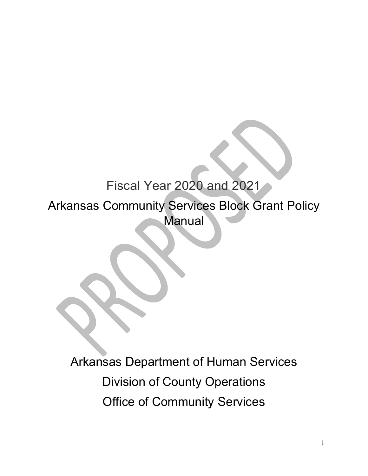# Fiscal Year 2020 and 2021

Arkansas Community Services Block Grant Policy **Manual** 

Arkansas Department of Human Services Division of County Operations Office of Community Services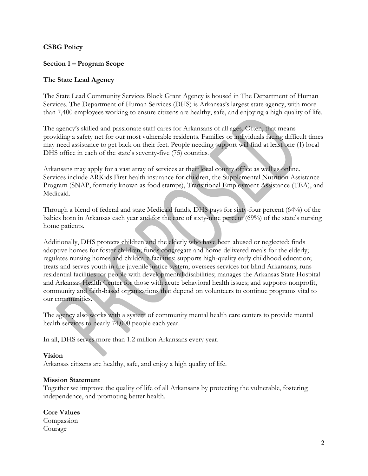## **CSBG Policy**

## **Section 1 – Program Scope**

#### **The State Lead Agency**

The State Lead Community Services Block Grant Agency is housed in The Department of Human Services. The Department of Human Services (DHS) is Arkansas's largest state agency, with more than 7,400 employees working to ensure citizens are healthy, safe, and enjoying a high quality of life.

The agency's skilled and passionate staff cares for Arkansans of all ages. Often, that means providing a safety net for our most vulnerable residents. Families or individuals facing difficult times may need assistance to get back on their feet. People needing support will find at least one (1) local DHS office in each of the state's seventy-five (75) counties.

Arkansans may apply for a vast array of services at their local county office as well as online. Services include ARKids First health insurance for children, the Supplemental Nutrition Assistance Program (SNAP, formerly known as food stamps), Transitional Employment Assistance (TEA), and Medicaid.

Through a blend of federal and state Medicaid funds, DHS pays for sixty-four percent (64%) of the babies born in Arkansas each year and for the care of sixty-nine percent (69%) of the state's nursing home patients.

Additionally, DHS protects children and the elderly who have been abused or neglected; finds adoptive homes for foster children; funds congregate and home-delivered meals for the elderly; regulates nursing homes and childcare facilities; supports high-quality early childhood education; treats and serves youth in the juvenile justice system; oversees services for blind Arkansans; runs residential facilities for people with developmental disabilities; manages the Arkansas State Hospital and Arkansas Health Center for those with acute behavioral health issues; and supports nonprofit, community and faith-based organizations that depend on volunteers to continue programs vital to our communities.

The agency also works with a system of community mental health care centers to provide mental health services to nearly 74,000 people each year.

In all, DHS serves more than 1.2 million Arkansans every year.

#### **Vision**

Arkansas citizens are healthy, safe, and enjoy a high quality of life.

#### **Mission Statement**

Together we improve the quality of life of all Arkansans by protecting the vulnerable, fostering independence, and promoting better health.

**Core Values** Compassion Courage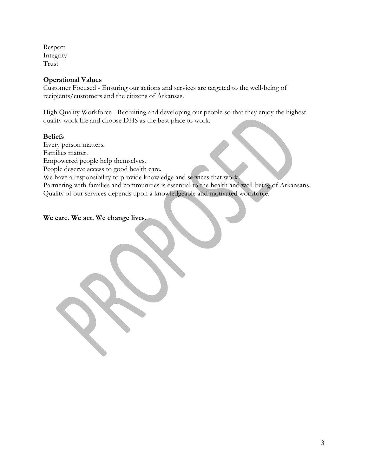Respect Integrity Trust

## **Operational Values**

Customer Focused - Ensuring our actions and services are targeted to the well-being of recipients/customers and the citizens of Arkansas.

High Quality Workforce - Recruiting and developing our people so that they enjoy the highest quality work life and choose DHS as the best place to work.

## **Beliefs**

Every person matters. Families matter. Empowered people help themselves. People deserve access to good health care. We have a responsibility to provide knowledge and services that work. Partnering with families and communities is essential to the health and well-being of Arkansans. Quality of our services depends upon a knowledgeable and motivated workforce.

**We care. We act. We change lives.**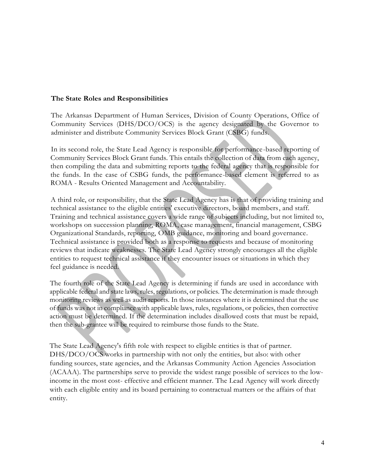#### **The State Roles and Responsibilities**

The Arkansas Department of Human Services, Division of County Operations, Office of Community Services (DHS/DCO/OCS) is the agency designated by the Governor to administer and distribute Community Services Block Grant (CSBG) funds.

In its second role, the State Lead Agency is responsible for performance-based reporting of Community Services Block Grant funds. This entails the collection of data from each agency, then compiling the data and submitting reports to the federal agency that is responsible for the funds. In the case of CSBG funds, the performance-based element is referred to as ROMA - Results Oriented Management and Accountability.

A third role, or responsibility, that the State Lead Agency has is that of providing training and technical assistance to the eligible entities' executive directors, board members, and staff. Training and technical assistance covers a wide range of subjects including, but not limited to, workshops on succession planning, ROMA, case management, financial management, CSBG Organizational Standards, reporting, OMB guidance, monitoring and board governance. Technical assistance is provided both as a response to requests and because of monitoring reviews that indicate weaknesses. The State Lead Agency strongly encourages all the eligible entities to request technical assistance if they encounter issues or situations in which they feel guidance is needed.

The fourth role of the State Lead Agency is determining if funds are used in accordance with applicable federal and state laws, rules, regulations, or policies. The determination is made through monitoring reviews as well as audit reports. In those instances where it is determined that the use of funds was not in compliance with applicable laws, rules, regulations, or policies, then corrective action must be determined. If the determination includes disallowed costs that must be repaid, then the sub-grantee will be required to reimburse those funds to the State.

The State Lead Agency's fifth role with respect to eligible entities is that of partner. DHS/DCO/OCS works in partnership with not only the entities, but also: with other funding sources, state agencies, and the Arkansas Community Action Agencies Association (ACAAA). The partnerships serve to provide the widest range possible of services to the lowincome in the most cost- effective and efficient manner. The Lead Agency will work directly with each eligible entity and its board pertaining to contractual matters or the affairs of that entity.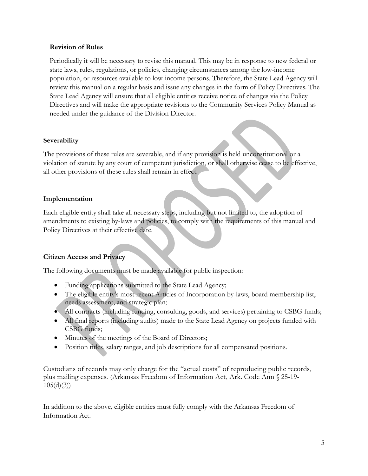#### **Revision of Rules**

Periodically it will be necessary to revise this manual. This may be in response to new federal or state laws, rules, regulations, or policies, changing circumstances among the low-income population, or resources available to low-income persons. Therefore, the State Lead Agency will review this manual on a regular basis and issue any changes in the form of Policy Directives. The State Lead Agency will ensure that all eligible entities receive notice of changes via the Policy Directives and will make the appropriate revisions to the Community Services Policy Manual as needed under the guidance of the Division Director.

## **Severability**

The provisions of these rules are severable, and if any provision is held unconstitutional or a violation of statute by any court of competent jurisdiction, or shall otherwise cease to be effective, all other provisions of these rules shall remain in effect.

## **Implementation**

Each eligible entity shall take all necessary steps, including but not limited to, the adoption of amendments to existing by-laws and policies, to comply with the requirements of this manual and Policy Directives at their effective date.

## **Citizen Access and Privacy**

The following documents must be made available for public inspection:

- Funding applications submitted to the State Lead Agency;
- The eligible entity's most recent Articles of Incorporation by-laws, board membership list, needs assessment, and strategic plan;
- All contracts (including funding, consulting, goods, and services) pertaining to CSBG funds;
- All final reports (including audits) made to the State Lead Agency on projects funded with CSBG funds;
- Minutes of the meetings of the Board of Directors;
- Position titles, salary ranges, and job descriptions for all compensated positions.

Custodians of records may only charge for the "actual costs" of reproducing public records, plus mailing expenses. (Arkansas Freedom of Information Act, Ark. Code Ann § 25-19-  $105(d)(3)$ 

In addition to the above, eligible entities must fully comply with the Arkansas Freedom of Information Act.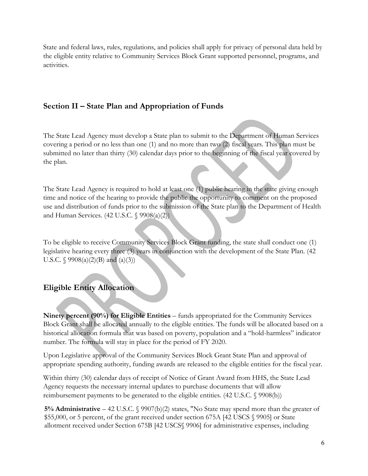State and federal laws, rules, regulations, and policies shall apply for privacy of personal data held by the eligible entity relative to Community Services Block Grant supported personnel, programs, and activities.

# **Section II – State Plan and Appropriation of Funds**

The State Lead Agency must develop a State plan to submit to the Department of Human Services covering a period or no less than one (1) and no more than two (2) fiscal years. This plan must be submitted no later than thirty (30) calendar days prior to the beginning of the fiscal year covered by the plan.

The State Lead Agency is required to hold at least one (1) public hearing in the state giving enough time and notice of the hearing to provide the public the opportunity to comment on the proposed use and distribution of funds prior to the submission of the State plan to the Department of Health and Human Services. (42 U.S.C. § 9908(a)(2))

To be eligible to receive Community Services Block Grant funding, the state shall conduct one (1) legislative hearing every three (3) years in conjunction with the development of the State Plan. (42 U.S.C.  $\{9908(a)(2)(B) \text{ and } (a)(3)\}$ 

# **Eligible Entity Allocation**

**Ninety percent (90%) for Eligible Entities** – funds appropriated for the Community Services Block Grant shall be allocated annually to the eligible entities. The funds will be allocated based on a historical allocation formula that was based on poverty, population and a "hold-harmless" indicator number. The formula will stay in place for the period of FY 2020.

Upon Legislative approval of the Community Services Block Grant State Plan and approval of appropriate spending authority, funding awards are released to the eligible entities for the fiscal year.

Within thirty (30) calendar days of receipt of Notice of Grant Award from HHS, the State Lead Agency requests the necessary internal updates to purchase documents that will allow reimbursement payments to be generated to the eligible entities. (42 U.S.C. § 9908(b))

**5% Administrative** – 42 U.S.C. § 9907(b)(2) states, "No State may spend more than the greater of \$55,000, or 5 percent, of the grant received under section 675A [42 USCS § 9905] or State allotment received under Section 675B [42 USCS§ 9906] for administrative expenses, including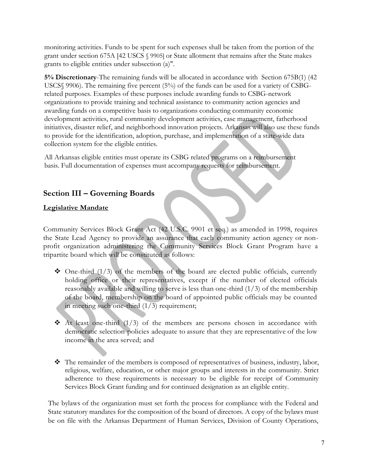monitoring activities. Funds to be spent for such expenses shall be taken from the portion of the grant under section 675A [42 USCS § 9905] or State allotment that remains after the State makes grants to eligible entities under subsection (a)".

**5% Discretionary**-The remaining funds will be allocated in accordance with Section 675B(1) (42 USCS§ 9906). The remaining five percent (5%) of the funds can be used for a variety of CSBGrelated purposes. Examples of these purposes include awarding funds to CSBG-network organizations to provide training and technical assistance to community action agencies and awarding funds on a competitive basis to organizations conducting community economic development activities, rural community development activities, case management, fatherhood initiatives, disaster relief, and neighborhood innovation projects. Arkansas will also use these funds to provide for the identification, adoption, purchase, and implementation of a state-wide data collection system for the eligible entities.

All Arkansas eligible entities must operate its CSBG related programs on a reimbursement basis. Full documentation of expenses must accompany requests for reimbursement.

# **Section III – Governing Boards**

## **Legislative Mandate**

Community Services Block Grant Act (42 U.S.C. 9901 et seq.) as amended in 1998, requires the State Lead Agency to provide an assurance that each community action agency or nonprofit organization administering the Community Services Block Grant Program have a tripartite board which will be constituted as follows:

- $\triangle$  One-third (1/3) of the members of the board are elected public officials, currently holding office or their representatives, except if the number of elected officials reasonably available and willing to serve is less than one-third (1/3) of the membership of the board, membership on the board of appointed public officials may be counted in meeting such one-third  $(1/3)$  requirement;
- $\triangle$  At least one-third (1/3) of the members are persons chosen in accordance with democratic selection policies adequate to assure that they are representative of the low income in the area served; and
- $\hat{\mathbf{\cdot}}$  The remainder of the members is composed of representatives of business, industry, labor, religious, welfare, education, or other major groups and interests in the community. Strict adherence to these requirements is necessary to be eligible for receipt of Community Services Block Grant funding and for continued designation as an eligible entity.

The bylaws of the organization must set forth the process for compliance with the Federal and State statutory mandates for the composition of the board of directors. A copy of the bylaws must be on file with the Arkansas Department of Human Services, Division of County Operations,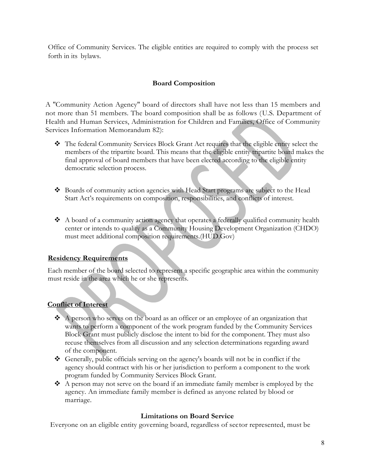Office of Community Services. The eligible entities are required to comply with the process set forth in its bylaws.

## **Board Composition**

A ''Community Action Agency" board of directors shall have not less than 15 members and not more than 51 members. The board composition shall be as follows (U.S. Department of Health and Human Services, Administration for Children and Families, Office of Community Services Information Memorandum 82):

- The federal Community Services Block Grant Act requires that the eligible entity select the members of the tripartite board. This means that the eligible entity tripartite board makes the final approval of board members that have been elected according to the eligible entity democratic selection process.
- Boards of community action agencies with Head Start programs are subject to the Head Start Act's requirements on composition, responsibilities, and conflicts of interest.
- $\triangle$  A board of a community action agency that operates a federally qualified community health center or intends to qualify as a Community Housing Development Organization (CHDO) must meet additional composition requirements.(HUD.Gov)

## **Residency Requirements**

Each member of the board selected to represent a specific geographic area within the community must reside in the area which he or she represents.

## **Conflict of Interest**

- $\triangle$  A person who serves on the board as an officer or an employee of an organization that wants to perform a component of the work program funded by the Community Services Block Grant must publicly disclose the intent to bid for the component. They must also recuse themselves from all discussion and any selection determinations regarding award of the component.
- Generally, public officials serving on the agency's boards will not be in conflict if the agency should contract with his or her jurisdiction to perform a component to the work program funded by Community Services Block Grant.
- A person may not serve on the board if an immediate family member is employed by the agency. An immediate family member is defined as anyone related by blood or marriage.

#### **Limitations on Board Service**

Everyone on an eligible entity governing board, regardless of sector represented, must be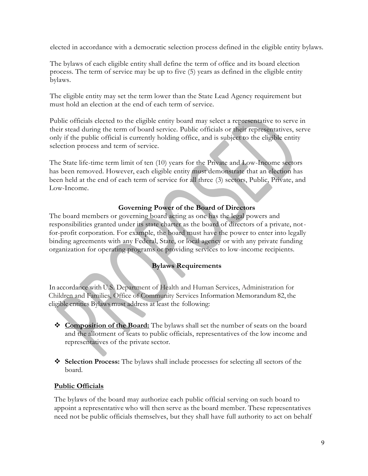elected in accordance with a democratic selection process defined in the eligible entity bylaws.

The bylaws of each eligible entity shall define the term of office and its board election process. The term of service may be up to five (5) years as defined in the eligible entity bylaws.

The eligible entity may set the term lower than the State Lead Agency requirement but must hold an election at the end of each term of service.

Public officials elected to the eligible entity board may select a representative to serve in their stead during the term of board service. Public officials or their representatives, serve only if the public official is currently holding office, and is subject to the eligible entity selection process and term of service.

The State life-time term limit of ten (10) years for the Private and Low-Income sectors has been removed. However, each eligible entity must demonstrate that an election has been held at the end of each term of service for all three (3) sectors, Public, Private, and Low-Income.

## **Governing Power of the Board of Directors**

The board members or governing board acting as one has the legal powers and responsibilities granted under its state charter as the board of directors of a private, notfor-profit corporation. For example, the board must have the power to enter into legally binding agreements with any Federal, State, or local agency or with any private funding organization for operating programs or providing services to low-income recipients.

## **Bylaws Requirements**

In accordance with U.S. Department of Health and Human Services, Administration for Children and Families, Office of Community Services Information Memorandum 82, the eligible entities Bylaws must address at least the following:

- **Composition of the Board:** The bylaws shall set the number of seats on the board and the allotment of seats to public officials, representatives of the low income and representatives of the private sector.
- **Selection Process:** The bylaws shall include processes for selecting all sectors of the board.

#### **Public Officials**

The bylaws of the board may authorize each public official serving on such board to appoint a representative who will then serve as the board member. These representatives need not be public officials themselves, but they shall have full authority to act on behalf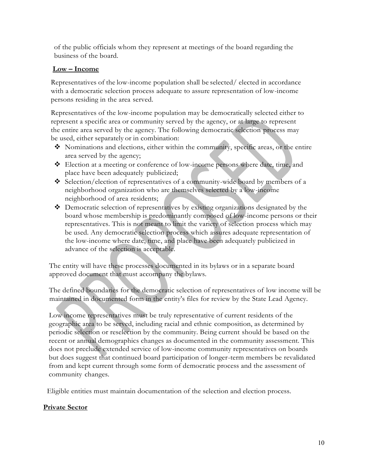of the public officials whom they represent at meetings of the board regarding the business of the board.

## **Low – Income**

Representatives of the low-income population shall be selected/ elected in accordance with a democratic selection process adequate to assure representation of low-income persons residing in the area served.

Representatives of the low-income population may be democratically selected either to represent a specific area or community served by the agency, or at large to represent the entire area served by the agency. The following democratic selection process may be used, either separately or in combination:

- Nominations and elections, either within the community, specific areas, or the entire area served by the agency;
- Election at a meeting or conference of low-income persons where date, time, and place have been adequately publicized;
- Selection/election of representatives of a community-wide board by members of a neighborhood organization who are themselves selected by a low-income neighborhood of area residents;
- Democratic selection of representatives by existing organizations designated by the board whose membership is predominantly composed of low-income persons or their representatives. This is not meant to limit the variety of selection process which may be used. Any democratic selection process which assures adequate representation of the low-income where date, time, and place have been adequately publicized in advance of the selection is acceptable.

The entity will have these processes documented in its bylaws or in a separate board approved document that must accompany the bylaws.

The defined boundaries for the democratic selection of representatives of low income will be maintained in documented form in the entity's files for review by the State Lead Agency.

Low income representatives must be truly representative of current residents of the geographic area to be served, including racial and ethnic composition, as determined by periodic selection or reselection by the community. Being current should be based on the recent or annual demographics changes as documented in the community assessment. This does not preclude extended service of low-income community representatives on boards but does suggest that continued board participation of longer-term members be revalidated from and kept current through some form of democratic process and the assessment of community changes.

Eligible entities must maintain documentation of the selection and election process.

## **Private Sector**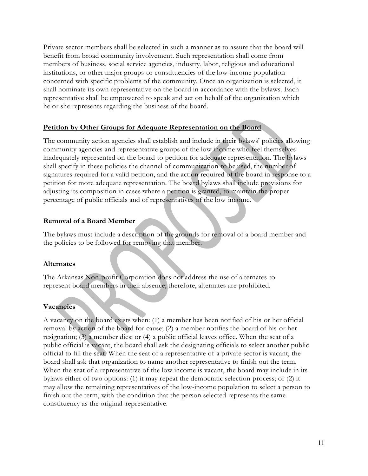Private sector members shall be selected in such a manner as to assure that the board will benefit from broad community involvement. Such representation shall come from members of business, social service agencies, industry, labor, religious and educational institutions, or other major groups or constituencies of the low-income population concerned with specific problems of the community. Once an organization is selected, it shall nominate its own representative on the board in accordance with the bylaws. Each representative shall be empowered to speak and act on behalf of the organization which he or she represents regarding the business of the board.

## **Petition by Other Groups for Adequate Representation on the Board**

The community action agencies shall establish and include in their bylaws' policies allowing community agencies and representative groups of the low income who feel themselves inadequately represented on the board to petition for adequate representation. The bylaws shall specify in these policies the channel of communication to be used, the number of signatures required for a valid petition, and the action required of the board in response to a petition for more adequate representation. The board bylaws shall include provisions for adjusting its composition in cases where a petition is granted, to maintain the proper percentage of public officials and of representatives of the low income.

#### **Removal of a Board Member**

The bylaws must include a description of the grounds for removal of a board member and the policies to be followed for removing that member.

## **Alternates**

The Arkansas Non-profit Corporation does not address the use of alternates to represent board members in their absence; therefore, alternates are prohibited.

## **Vacancies**

A vacancy on the board exists when: (1) a member has been notified of his or her official removal by action of the board for cause; (2) a member notifies the board of his or her resignation; (3) a member dies: or (4) a public official leaves office. When the seat of a public official is vacant, the board shall ask the designating officials to select another public official to fill the seat. When the seat of a representative of a private sector is vacant, the board shall ask that organization to name another representative to finish out the term. When the seat of a representative of the low income is vacant, the board may include in its bylaws either of two options: (1) it may repeat the democratic selection process; or (2) it may allow the remaining representatives of the low-income population to select a person to finish out the term, with the condition that the person selected represents the same constituency as the original representative.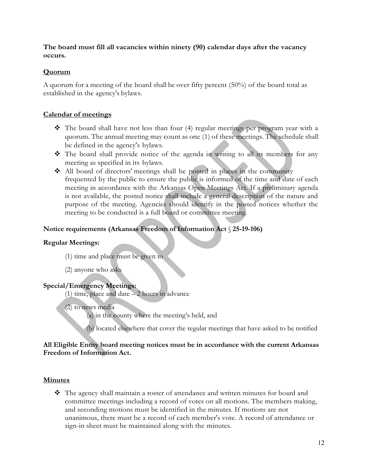**The board must fill all vacancies within ninety (90) calendar days after the vacancy occurs.**

## **Quorum**

A quorum for a meeting of the board shall be over fifty percent (50%) of the board total as established in the agency's bylaws.

## **Calendar of meetings**

- $\hat{\mathbf{v}}$  The board shall have not less than four (4) regular meetings per program year with a quorum. The annual meeting may count as one (1) of these meetings. The schedule shall be defined in the agency's bylaws.
- $\hat{\mathbf{\cdot}}$  The board shall provide notice of the agenda in writing to all its members for any meeting as specified in its bylaws.
- All board of directors' meetings shall be posted in places in the community frequented by the public to ensure the public is informed of the time and date of each meeting in accordance with the Arkansas Open Meetings Act. If a preliminary agenda is not available, the posted notice shall include a general description of the nature and purpose of the meeting. Agencies should identify in the posted notices whether the meeting to be conducted is a full board or committee meeting.

## **Notice requirements (Arkansas Freedom of Information Act** § **25-19-106)**

## **Regular Meetings:**

(1) time and place must be given to

(2) anyone who asks

## **Special/Emergency Meetings:**

(1) time, place and date  $-2$  hours in advance

(2) to news media

(a) in the county where the meeting's held, and

(b) located elsewhere that cover the regular meetings that have asked to be notified

#### **All Eligible Entity board meeting notices must be in accordance with the current Arkansas Freedom of Information Act.**

## **Minutes**

 The agency shall maintain a roster of attendance and written minutes for board and committee meetings including a record of votes on all motions. The members making, and seconding motions must be identified in the minutes. If motions are not unanimous, there must be a record of each member's vote. A record of attendance or sign-in sheet must be maintained along with the minutes.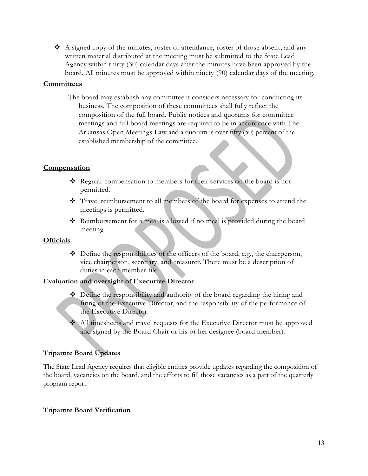$\bullet$  A signed copy of the minutes, roster of attendance, roster of those absent, and any written material distributed at the meeting must be submitted to the State Lead Agency within thirty (30) calendar days after the minutes have been approved by the board. All minutes must be approved within ninety (90) calendar days of the meeting.

## **Committees**

The board may establish any committee it considers necessary for conducting its business. The composition of these committees shall fully reflect the composition of the full board. Public notices and quorums for committee meetings and full board meetings are required to be in accordance with The Arkansas Open Meetings Law and a quorum is over fifty (50) percent of the established membership of the committee.

## **Compensation**

- Regular compensation to members for their services on the board is not permitted.
- Travel reimbursement to all members of the board for expenses to attend the meetings is permitted.
- Reimbursement for a meal is allowed if no meal is provided during the board meeting.

#### **Officials**

 Define the responsibilities of the officers of the board, e.g., the chairperson, vice chairperson, secretary, and treasurer. There must be a description of duties in each member file.

#### **Evaluation and oversight of Executive Director**

- $\bullet$  Define the responsibility and authority of the board regarding the hiring and firing of the Executive Director, and the responsibility of the performance of the Executive Director.
- All timesheets and travel requests for the Executive Director must be approved and signed by the Board Chair or his or her designee (board member).

## **Tripartite Board Updates**

The State Lead Agency requires that eligible entities provide updates regarding the composition of the board, vacancies on the board, and the efforts to fill those vacancies as a part of the quarterly program report.

#### **Tripartite Board Verification**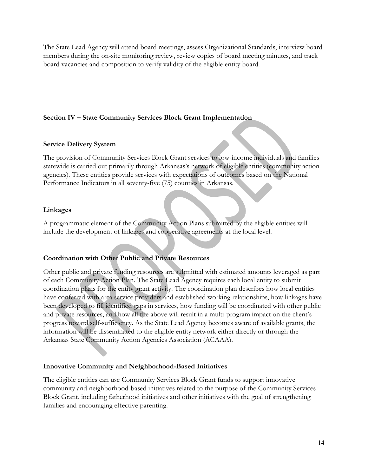The State Lead Agency will attend board meetings, assess Organizational Standards, interview board members during the on-site monitoring review, review copies of board meeting minutes, and track board vacancies and composition to verify validity of the eligible entity board.

## **Section IV – State Community Services Block Grant Implementation**

#### **Service Delivery System**

The provision of Community Services Block Grant services to low-income individuals and families statewide is carried out primarily through Arkansas's network of eligible entities (community action agencies). These entities provide services with expectations of outcomes based on the National Performance Indicators in all seventy-five (75) counties in Arkansas.

#### **Linkages**

A programmatic element of the Community Action Plans submitted by the eligible entities will include the development of linkages and cooperative agreements at the local level.

#### **Coordination with Other Public and Private Resources**

Other public and private funding resources are submitted with estimated amounts leveraged as part of each Community Action Plan. The State Lead Agency requires each local entity to submit coordination plans for the entity grant activity. The coordination plan describes how local entities have conferred with area service providers and established working relationships, how linkages have been developed to fill identified gaps in services, how funding will be coordinated with other public and private resources, and how all the above will result in a multi-program impact on the client's progress toward self-sufficiency. As the State Lead Agency becomes aware of available grants, the information will be disseminated to the eligible entity network either directly or through the Arkansas State Community Action Agencies Association (ACAAA).

#### **Innovative Community and Neighborhood-Based Initiatives**

The eligible entities can use Community Services Block Grant funds to support innovative community and neighborhood-based initiatives related to the purpose of the Community Services Block Grant, including fatherhood initiatives and other initiatives with the goal of strengthening families and encouraging effective parenting.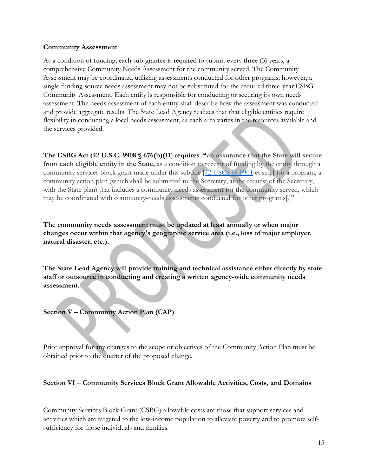#### **Community Assessment**

As a condition of funding, each sub-grantee is required to submit every three (3) years, a comprehensive Community Needs Assessment for the community served. The Community Assessment may be coordinated utilizing assessments conducted for other programs; however, a single funding source needs assessment may not be substituted for the required three-year CSBG Community Assessment. Each entity is responsible for conducting or securing its own needs assessment. The needs assessment of each entity shall describe how the assessment was conducted and provide aggregate results. The State Lead Agency realizes that that eligible entities require flexibility in conducting a local needs assessment, as each area varies in the resources available and the services provided.

**The CSBG Act (42 U.S.C. 9908 § 676(b)(11**) **requires "an assurance that the State will secure from each eligible entity in the State,** as a condition to receipt of funding by the entity through a community services block grant made under this subtitle [42 USCS  $\%$  9901 et seq.] for a program, a community action plan (which shall be submitted to the Secretary, at the request of the Secretary, with the State plan) that includes a community-needs assessment for the community served, which may be coordinated with community-needs assessments conducted for other programs[.]"

**The community needs assessment must be updated at least annually or when major changes occur within that agency's geographic service area (i.e., loss of major employer. natural disaster, etc.).**

**The State Lead Agency will provide training and technical assistance either directly by state staff or outsource in conducting and creating a written agency-wide community needs assessment.**

## **Section V – Community Action Plan (CAP)**

Prior approval for any changes to the scope or objectives of the Community Action Plan must be obtained prior to the quarter of the proposed change.

#### **Section VI – Community Services Block Grant Allowable Activities, Costs, and Domains**

Community Services Block Grant (CSBG) allowable costs are those that support services and activities which are targeted to the low-income population to alleviate poverty and to promote selfsufficiency for those individuals and families.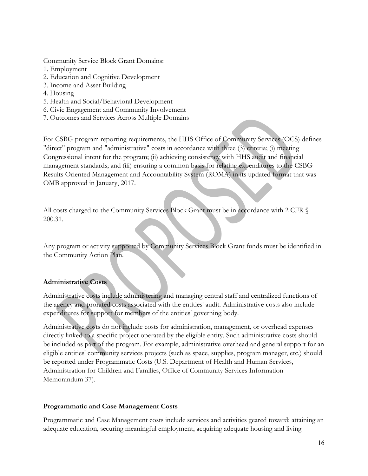Community Service Block Grant Domains:

- 1. Employment
- 2. Education and Cognitive Development
- 3. Income and Asset Building
- 4. Housing
- 5. Health and Social/Behavioral Development
- 6. Civic Engagement and Community Involvement
- 7. Outcomes and Services Across Multiple Domains

For CSBG program reporting requirements, the HHS Office of Community Services (OCS) defines "direct" program and "administrative" costs in accordance with three (3) criteria; (i) meeting Congressional intent for the program; (ii) achieving consistency with HHS audit and financial management standards; and (iii) ensuring a common basis for relating expenditures to the CSBG Results Oriented Management and Accountability System (ROMA) in its updated format that was OMB approved in January, 2017.

All costs charged to the Community Services Block Grant must be in accordance with 2 CFR § 200.31.

Any program or activity supported by Community Services Block Grant funds must be identified in the Community Action Plan.

## **Administrative Costs**

Administrative costs include administering and managing central staff and centralized functions of the agency and prorated costs associated with the entities' audit. Administrative costs also include expenditures for support for members of the entities' governing body.

Administrative costs do not include costs for administration, management, or overhead expenses directly linked to a specific project operated by the eligible entity. Such administrative costs should be included as part of the program. For example, administrative overhead and general support for an eligible entities' community services projects (such as space, supplies, program manager, etc.) should be reported under Programmatic Costs (U.S. Department of Health and Human Services, Administration for Children and Families, Office of Community Services Information Memorandum 37).

#### **Programmatic and Case Management Costs**

Programmatic and Case Management costs include services and activities geared toward: attaining an adequate education, securing meaningful employment, acquiring adequate housing and living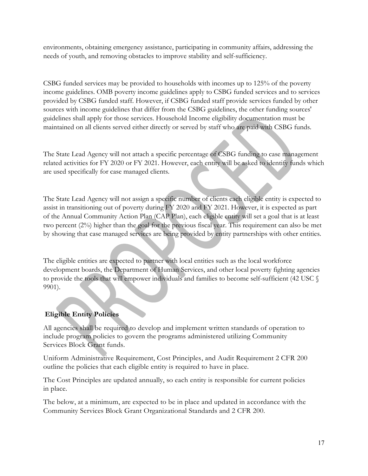environments, obtaining emergency assistance, participating in community affairs, addressing the needs of youth, and removing obstacles to improve stability and self-sufficiency.

CSBG funded services may be provided to households with incomes up to 125% of the poverty income guidelines. OMB poverty income guidelines apply to CSBG funded services and to services provided by CSBG funded staff. However, if CSBG funded staff provide services funded by other sources with income guidelines that differ from the CSBG guidelines, the other funding sources' guidelines shall apply for those services. Household Income eligibility documentation must be maintained on all clients served either directly or served by staff who are paid with CSBG funds.

The State Lead Agency will not attach a specific percentage of CSBG funding to case management related activities for FY 2020 or FY 2021. However, each entity will be asked to identify funds which are used specifically for case managed clients.

The State Lead Agency will not assign a specific number of clients each eligible entity is expected to assist in transitioning out of poverty during FY 2020 and FY 2021. However, it is expected as part of the Annual Community Action Plan (CAP Plan), each eligible entity will set a goal that is at least two percent (2%) higher than the goal for the previous fiscal year. This requirement can also be met by showing that case managed services are being provided by entity partnerships with other entities.

The eligible entities are expected to partner with local entities such as the local workforce development boards, the Department of Human Services, and other local poverty fighting agencies to provide the tools that will empower individuals and families to become self-sufficient (42 USC § 9901).

# **Eligible Entity Policies**

All agencies shall be required to develop and implement written standards of operation to include program policies to govern the programs administered utilizing Community Services Block Grant funds.

Uniform Administrative Requirement, Cost Principles, and Audit Requirement 2 CFR 200 outline the policies that each eligible entity is required to have in place.

The Cost Principles are updated annually, so each entity is responsible for current policies in place.

The below, at a minimum, are expected to be in place and updated in accordance with the Community Services Block Grant Organizational Standards and 2 CFR 200.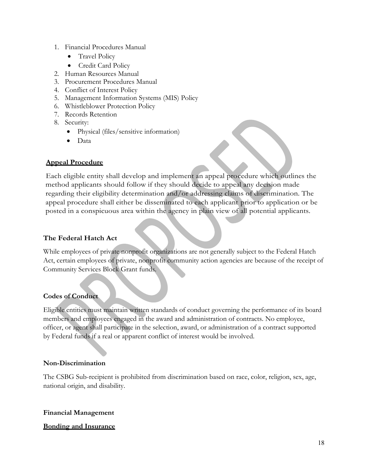- 1. Financial Procedures Manual
	- Travel Policy
	- Credit Card Policy
- 2. Human Resources Manual
- 3. Procurement Procedures Manual
- 4. Conflict of Interest Policy
- 5. Management Information Systems (MIS) Policy
- 6. Whistleblower Protection Policy
- 7. Records Retention
- 8. Security:
	- Physical (files/sensitive information)
	- Data

#### **Appeal Procedure**

Each eligible entity shall develop and implement an appeal procedure which outlines the method applicants should follow if they should decide to appeal any decision made regarding their eligibility determination and/or addressing claims of discrimination. The appeal procedure shall either be disseminated to each applicant prior to application or be posted in a conspicuous area within the agency in plain view of all potential applicants.

## **The Federal Hatch Act**

While employees of private nonprofit organizations are not generally subject to the Federal Hatch Act, certain employees of private, nonprofit community action agencies are because of the receipt of Community Services Block Grant funds.

#### **Codes of Conduct**

Eligible entities must maintain written standards of conduct governing the performance of its board members and employees engaged in the award and administration of contracts. No employee, officer, or agent shall participate in the selection, award, or administration of a contract supported by Federal funds if a real or apparent conflict of interest would be involved.

#### **Non-Discrimination**

The CSBG Sub-recipient is prohibited from discrimination based on race, color, religion, sex, age, national origin, and disability.

#### **Financial Management**

#### **Bonding and Insurance**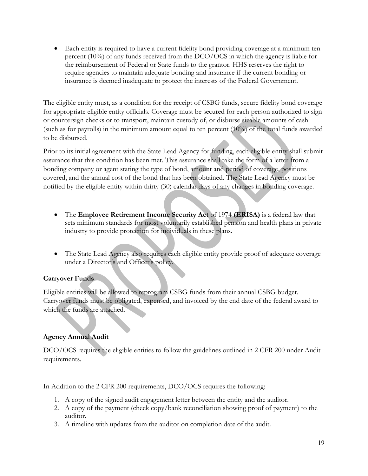Each entity is required to have a current fidelity bond providing coverage at a minimum ten percent (10%) of any funds received from the DCO/OCS in which the agency is liable for the reimbursement of Federal or State funds to the grantor. HHS reserves the right to require agencies to maintain adequate bonding and insurance if the current bonding or insurance is deemed inadequate to protect the interests of the Federal Government.

The eligible entity must, as a condition for the receipt of CSBG funds, secure fidelity bond coverage for appropriate eligible entity officials. Coverage must be secured for each person authorized to sign or countersign checks or to transport, maintain custody of, or disburse sizable amounts of cash (such as for payrolls) in the minimum amount equal to ten percent (10%) of the total funds awarded to be disbursed.

Prior to its initial agreement with the State Lead Agency for funding, each eligible entity shall submit assurance that this condition has been met. This assurance shall take the form of a letter from a bonding company or agent stating the type of bond, amount and period of coverage, positions covered, and the annual cost of the bond that has been obtained. The State Lead Agency must be notified by the eligible entity within thirty (30) calendar days of any changes in bonding coverage.

- The **Employee Retirement Income Security Act** of 1974 **(ERISA)** is a federal law that sets minimum standards for most voluntarily established pension and health plans in private industry to provide protection for individuals in these plans.
- The State Lead Agency also requires each eligible entity provide proof of adequate coverage under a Director's and Officer's policy.

# **Carryover Funds**

Eligible entities will be allowed to reprogram CSBG funds from their annual CSBG budget. Carryover funds must be obligated, expensed, and invoiced by the end date of the federal award to which the funds are attached.

# **Agency Annual Audit**

DCO/OCS requires the eligible entities to follow the guidelines outlined in 2 CFR 200 under Audit requirements.

In Addition to the 2 CFR 200 requirements, DCO/OCS requires the following:

- 1. A copy of the signed audit engagement letter between the entity and the auditor.
- 2. A copy of the payment (check copy/bank reconciliation showing proof of payment) to the auditor.
- 3. A timeline with updates from the auditor on completion date of the audit.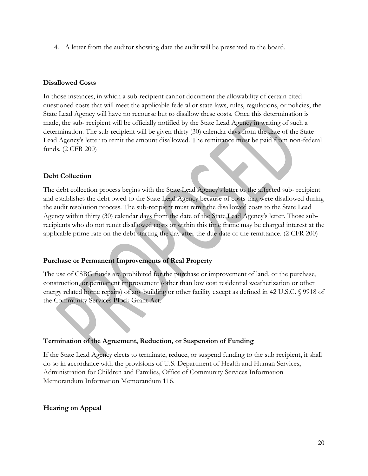4. A letter from the auditor showing date the audit will be presented to the board.

#### **Disallowed Costs**

In those instances, in which a sub-recipient cannot document the allowability of certain cited questioned costs that will meet the applicable federal or state laws, rules, regulations, or policies, the State Lead Agency will have no recourse but to disallow these costs. Once this determination is made, the sub- recipient will be officially notified by the State Lead Agency in writing of such a determination. The sub-recipient will be given thirty (30) calendar days from the date of the State Lead Agency's letter to remit the amount disallowed. The remittance must be paid from non-federal funds. (2 CFR 200)

#### **Debt Collection**

The debt collection process begins with the State Lead Agency's letter to the affected sub- recipient and establishes the debt owed to the State Lead Agency because of costs that were disallowed during the audit resolution process. The sub-recipient must remit the disallowed costs to the State Lead Agency within thirty (30) calendar days from the date of the State Lead Agency's letter. Those subrecipients who do not remit disallowed costs or within this time frame may be charged interest at the applicable prime rate on the debt starting the day after the due date of the remittance. (2 CFR 200)

#### **Purchase or Permanent Improvements of Real Property**

The use of CSBG funds are prohibited for the purchase or improvement of land, or the purchase, construction, or permanent improvement (other than low cost residential weatherization or other energy related home repairs) of any building or other facility except as defined in 42 U.S.C. § 9918 of the Community Services Block Grant Act.

#### **Termination of the Agreement, Reduction, or Suspension of Funding**

If the State Lead Agency elects to terminate, reduce, or suspend funding to the sub recipient, it shall do so in accordance with the provisions of U.S. Department of Health and Human Services, Administration for Children and Families, Office of Community Services Information Memorandum Information Memorandum 116.

#### **Hearing on Appeal**